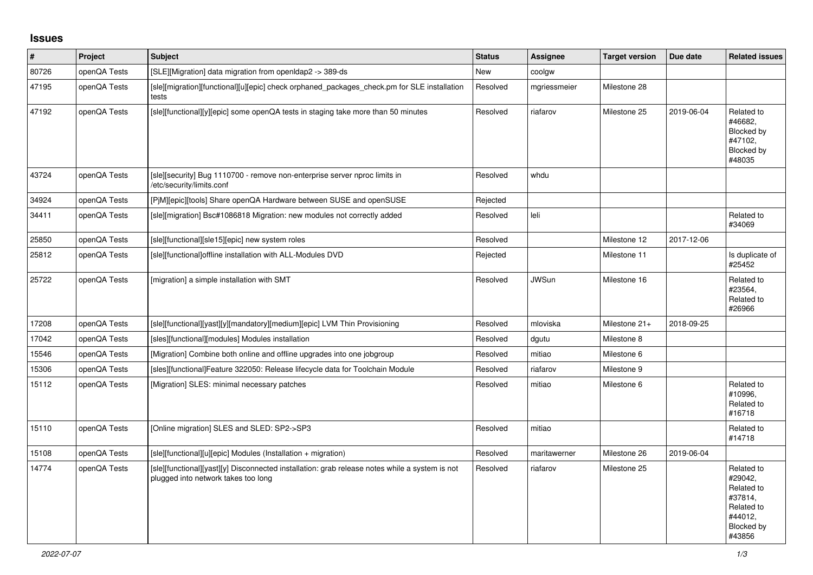## **Issues**

| $\vert$ # | Project      | <b>Subject</b>                                                                                                                        | <b>Status</b> | Assignee     | <b>Target version</b> | Due date   | <b>Related issues</b>                                                                           |
|-----------|--------------|---------------------------------------------------------------------------------------------------------------------------------------|---------------|--------------|-----------------------|------------|-------------------------------------------------------------------------------------------------|
| 80726     | openQA Tests | [SLE][Migration] data migration from openIdap2 -> 389-ds                                                                              | New           | coolgw       |                       |            |                                                                                                 |
| 47195     | openQA Tests | [sle][migration][functional][u][epic] check orphaned packages check.pm for SLE installation<br>tests                                  | Resolved      | mgriessmeier | Milestone 28          |            |                                                                                                 |
| 47192     | openQA Tests | [sle][functional][y][epic] some openQA tests in staging take more than 50 minutes                                                     | Resolved      | riafarov     | Milestone 25          | 2019-06-04 | Related to<br>#46682.<br>Blocked by<br>#47102,<br>Blocked by<br>#48035                          |
| 43724     | openQA Tests | [sle][security] Bug 1110700 - remove non-enterprise server nproc limits in<br>/etc/security/limits.conf                               | Resolved      | whdu         |                       |            |                                                                                                 |
| 34924     | openQA Tests | [PjM][epic][tools] Share openQA Hardware between SUSE and openSUSE                                                                    | Rejected      |              |                       |            |                                                                                                 |
| 34411     | openQA Tests | [sle][migration] Bsc#1086818 Migration: new modules not correctly added                                                               | Resolved      | leli         |                       |            | Related to<br>#34069                                                                            |
| 25850     | openQA Tests | [sle][functional][sle15][epic] new system roles                                                                                       | Resolved      |              | Milestone 12          | 2017-12-06 |                                                                                                 |
| 25812     | openQA Tests | [sle][functional]offline installation with ALL-Modules DVD                                                                            | Rejected      |              | Milestone 11          |            | Is duplicate of<br>#25452                                                                       |
| 25722     | openQA Tests | [migration] a simple installation with SMT                                                                                            | Resolved      | <b>JWSun</b> | Milestone 16          |            | Related to<br>#23564,<br>Related to<br>#26966                                                   |
| 17208     | openQA Tests | [sle][functional][yast][y][mandatory][medium][epic] LVM Thin Provisioning                                                             | Resolved      | mloviska     | Milestone 21+         | 2018-09-25 |                                                                                                 |
| 17042     | openQA Tests | [sles][functional][modules] Modules installation                                                                                      | Resolved      | dgutu        | Milestone 8           |            |                                                                                                 |
| 15546     | openQA Tests | [Migration] Combine both online and offline upgrades into one jobgroup                                                                | Resolved      | mitiao       | Milestone 6           |            |                                                                                                 |
| 15306     | openQA Tests | [sles][functional]Feature 322050: Release lifecycle data for Toolchain Module                                                         | Resolved      | riafarov     | Milestone 9           |            |                                                                                                 |
| 15112     | openQA Tests | [Migration] SLES: minimal necessary patches                                                                                           | Resolved      | mitiao       | Milestone 6           |            | Related to<br>#10996,<br>Related to<br>#16718                                                   |
| 15110     | openQA Tests | [Online migration] SLES and SLED: SP2->SP3                                                                                            | Resolved      | mitiao       |                       |            | Related to<br>#14718                                                                            |
| 15108     | openQA Tests | [sle][functional][u][epic] Modules (Installation + migration)                                                                         | Resolved      | maritawerner | Milestone 26          | 2019-06-04 |                                                                                                 |
| 14774     | openQA Tests | [sle][functional][yast][y] Disconnected installation: grab release notes while a system is not<br>plugged into network takes too long | Resolved      | riafarov     | Milestone 25          |            | Related to<br>#29042,<br>Related to<br>#37814,<br>Related to<br>#44012,<br>Blocked by<br>#43856 |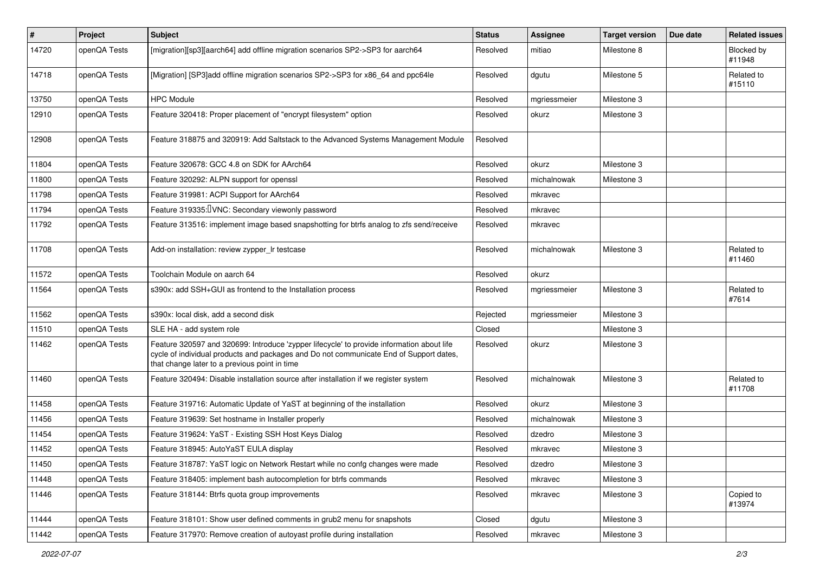| $\vert$ # | Project      | <b>Subject</b>                                                                                                                                                                                                                       | <b>Status</b> | <b>Assignee</b> | <b>Target version</b> | Due date | <b>Related issues</b> |
|-----------|--------------|--------------------------------------------------------------------------------------------------------------------------------------------------------------------------------------------------------------------------------------|---------------|-----------------|-----------------------|----------|-----------------------|
| 14720     | openQA Tests | [migration][sp3][aarch64] add offline migration scenarios SP2->SP3 for aarch64                                                                                                                                                       | Resolved      | mitiao          | Milestone 8           |          | Blocked by<br>#11948  |
| 14718     | openQA Tests | [Migration] [SP3]add offline migration scenarios SP2->SP3 for x86_64 and ppc64le                                                                                                                                                     | Resolved      | dgutu           | Milestone 5           |          | Related to<br>#15110  |
| 13750     | openQA Tests | <b>HPC Module</b>                                                                                                                                                                                                                    | Resolved      | mgriessmeier    | Milestone 3           |          |                       |
| 12910     | openQA Tests | Feature 320418: Proper placement of "encrypt filesystem" option                                                                                                                                                                      | Resolved      | okurz           | Milestone 3           |          |                       |
| 12908     | openQA Tests | Feature 318875 and 320919: Add Saltstack to the Advanced Systems Management Module                                                                                                                                                   | Resolved      |                 |                       |          |                       |
| 11804     | openQA Tests | Feature 320678: GCC 4.8 on SDK for AArch64                                                                                                                                                                                           | Resolved      | okurz           | Milestone 3           |          |                       |
| 11800     | openQA Tests | Feature 320292: ALPN support for openssl                                                                                                                                                                                             | Resolved      | michalnowak     | Milestone 3           |          |                       |
| 11798     | openQA Tests | Feature 319981: ACPI Support for AArch64                                                                                                                                                                                             | Resolved      | mkravec         |                       |          |                       |
| 11794     | openQA Tests | Feature 319335: IVNC: Secondary viewonly password                                                                                                                                                                                    | Resolved      | mkravec         |                       |          |                       |
| 11792     | openQA Tests | Feature 313516: implement image based snapshotting for btrfs analog to zfs send/receive                                                                                                                                              | Resolved      | mkravec         |                       |          |                       |
| 11708     | openQA Tests | Add-on installation: review zypper_Ir testcase                                                                                                                                                                                       | Resolved      | michalnowak     | Milestone 3           |          | Related to<br>#11460  |
| 11572     | openQA Tests | Toolchain Module on aarch 64                                                                                                                                                                                                         | Resolved      | okurz           |                       |          |                       |
| 11564     | openQA Tests | s390x: add SSH+GUI as frontend to the Installation process                                                                                                                                                                           | Resolved      | mgriessmeier    | Milestone 3           |          | Related to<br>#7614   |
| 11562     | openQA Tests | s390x: local disk, add a second disk                                                                                                                                                                                                 | Rejected      | mgriessmeier    | Milestone 3           |          |                       |
| 11510     | openQA Tests | SLE HA - add system role                                                                                                                                                                                                             | Closed        |                 | Milestone 3           |          |                       |
| 11462     | openQA Tests | Feature 320597 and 320699: Introduce 'zypper lifecycle' to provide information about life<br>cycle of individual products and packages and Do not communicate End of Support dates,<br>that change later to a previous point in time | Resolved      | okurz           | Milestone 3           |          |                       |
| 11460     | openQA Tests | Feature 320494: Disable installation source after installation if we register system                                                                                                                                                 | Resolved      | michalnowak     | Milestone 3           |          | Related to<br>#11708  |
| 11458     | openQA Tests | Feature 319716: Automatic Update of YaST at beginning of the installation                                                                                                                                                            | Resolved      | okurz           | Milestone 3           |          |                       |
| 11456     | openQA Tests | Feature 319639: Set hostname in Installer properly                                                                                                                                                                                   | Resolved      | michalnowak     | Milestone 3           |          |                       |
| 11454     | openQA Tests | Feature 319624: YaST - Existing SSH Host Keys Dialog                                                                                                                                                                                 | Resolved      | dzedro          | Milestone 3           |          |                       |
| 11452     | openQA Tests | Feature 318945: AutoYaST EULA display                                                                                                                                                                                                | Resolved      | mkravec         | Milestone 3           |          |                       |
| 11450     | openQA Tests | Feature 318787: YaST logic on Network Restart while no confg changes were made                                                                                                                                                       | Resolved      | dzedro          | Milestone 3           |          |                       |
| 11448     | openQA Tests | Feature 318405: implement bash autocompletion for btrfs commands                                                                                                                                                                     | Resolved      | mkravec         | Milestone 3           |          |                       |
| 11446     | openQA Tests | Feature 318144: Btrfs quota group improvements                                                                                                                                                                                       | Resolved      | mkravec         | Milestone 3           |          | Copied to<br>#13974   |
| 11444     | openQA Tests | Feature 318101: Show user defined comments in grub2 menu for snapshots                                                                                                                                                               | Closed        | dgutu           | Milestone 3           |          |                       |
| 11442     | openQA Tests | Feature 317970: Remove creation of autoyast profile during installation                                                                                                                                                              | Resolved      | mkravec         | Milestone 3           |          |                       |